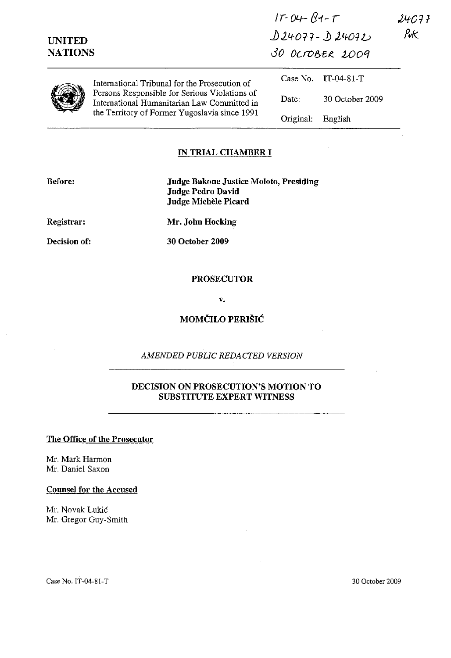| <b>UNITED</b><br><b>NATIONS</b> |                                                                                                                                                                                                | $17 - 04 - 84 - T$<br>$D24077 - D240722$<br>30 OCTOBER 2009 |                 | 24OF 7<br>Puk |
|---------------------------------|------------------------------------------------------------------------------------------------------------------------------------------------------------------------------------------------|-------------------------------------------------------------|-----------------|---------------|
|                                 | International Tribunal for the Prosecution of<br>Persons Responsible for Serious Violations of<br>International Humanitarian Law Committed in<br>the Territory of Former Yugoslavia since 1991 | Case No.                                                    | $IT-04-81-T$    |               |
|                                 |                                                                                                                                                                                                | Date:                                                       | 30 October 2009 |               |
|                                 |                                                                                                                                                                                                | Original:                                                   | English         |               |

### IN TRIAL CHAMBER **I**

Before: Judge Bakone Justice Moloto, Presiding Judge Pedro David Judge Michèle Picard

Registrar:

Mr. John Hocking

Decision of:

30 October 2009

#### **PROSECUTOR**

v.

# MOMCILO PERISIC

*AMENDED PUBLIC REDACTED VERSION* 

### DECISION ON PROSECUTION'S MOTION TO SUBSTITUTE EXPERT WITNESS

### The Office of the Prosecutor

Mr. Mark Harmon Mr. Daniel Saxon

Counsel for the Accused

Mr. Novak Lukić Mr. Gregor Guy-Smith

Case No. IT-04-S1-T 30 October 2009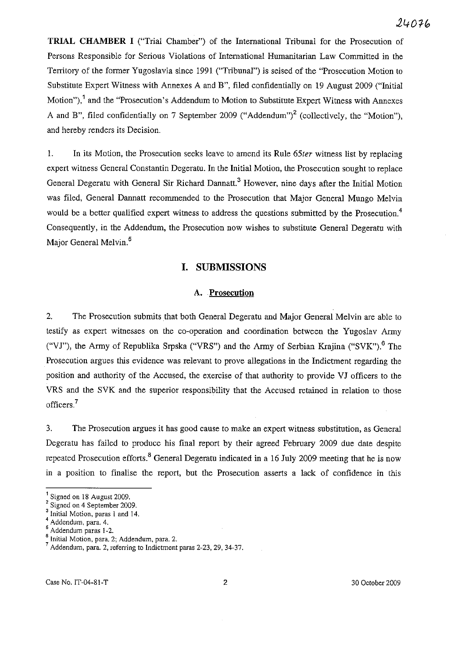**TRIAL CHAMBER I** ("Trial Chamber") of the International Tribunal for the Prosecution of Persons Responsible for Serious Violations of International Humanitarian Law Committed in the Territory of the former Yugoslavia since 1991 ("Tribunal") is seised of the "Prosecution Motion to Substitute Expert Witness with Annexes A and B", filed confidentially on 19 August 2009 ("Initial Motion"),<sup>1</sup> and the "Prosecution's Addendum to Motion to Substitute Expert Witness with Annexes A and B", filed confidentially on 7 September 2009 ("Addendum")<sup>2</sup> (collectively, the "Motion"). and hereby renders its Decision.

1. In its Motion, the Prosecution seeks leave to amend its Rule *65ter* witness list by replacing expert witness General Constantin Degeratu. **In** the Initial Motion, the Prosecution sought to replace General Degeratu with General Sir Richard Dannatt.<sup>3</sup> However, nine days after the Initial Motion was filed, General Dannatt recommended to the Prosecution that Major General Mungo Melvin would be a better qualified expert witness to address the questions submitted by the Prosecution.<sup>4</sup> Consequently, in the Addendum, the Prosecution now wishes to substitute General Degeratu with Major General Melvin.<sup>5</sup>

## **I. SUBMISSIONS**

## A. **Prosecution**

2. The Prosecution submits that both General Degeratu and Major General Melvin are able to testify as expert witnesses on the co-operation and coordination between the Yugoslav Army ("VJ"), the Army of Republika Srpska ("VRS") and the Army of Serbian Krajina ("SVK").<sup>6</sup> The Prosecution argues this evidence was relevant to prove allegations in the Indictment regarding the position and authority of the Accused, the exercise of that authority to provide VJ officers to the VRS and the SVK and the superior responsibility that the Accused retained in relation to those officers.<sup>7</sup>

3. The Prosecution argues it has good cause to make an expert witness substitution, as General Degeratu has failed to produce his final report by their agreed February 2009 due date despite repeated Prosecution efforts.<sup>8</sup> General Degeratu indicated in a 16 July 2009 meeting that he is now in a position to finalise the report, but the Prosecution asserts a lack of confidence in this

Case No. IT-04-81-T 2 2 30 October 2009

<sup>1</sup> Signed on 18 August 2009.

<sup>&</sup>lt;sup>2</sup> Signed on 4 September 2009.

<sup>&</sup>lt;sup>3</sup> Initial Motion, paras 1 and 14.

 $^{4}$  Addendum, para. 4.

<sup>5</sup> Addendum paras 1-2.

 $\frac{6}{1}$  Initial Motion, para. 2; Addendum, para. 2.

<sup>7</sup> Addendum, para. 2, referring to Indictment paras 2-23, 29, 34-37.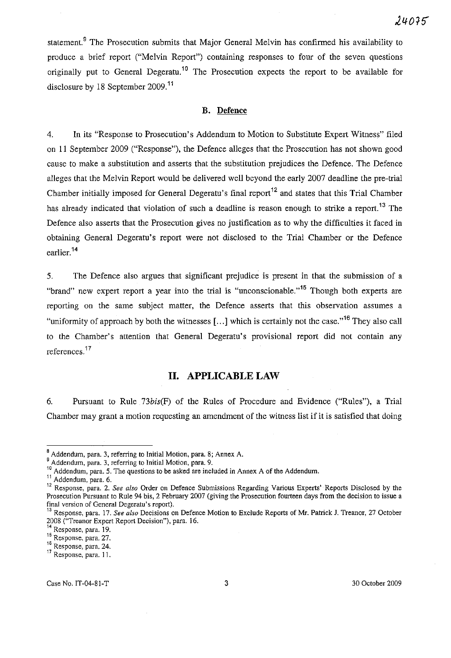statement.<sup>9</sup> The Prosecution submits that Major General Melvin has confirmed his availability to produce a brief report ("Melvin Report") containing responses to four of the seven questions originally put to General Degeratu.<sup>10</sup> The Prosecution expects the report to be available for disclosure by 18 September 2009.<sup>11</sup>

#### **B. Defence**

4. In its "Response to Prosecution's Addendum to Motion to Substitute Expert Witness" filed on II September 2009 ("Response"), the Defence alleges that the Prosecution has not shown good cause to make a substitution and asserts that the substitution prejudices the Defence. The Defence alleges that the Melvin Report would be delivered well beyond the early 2007 deadline the pre-trial Chamber initially imposed for General Degeratu's final report<sup>12</sup> and states that this Trial Chamber has already indicated that violation of such a deadline is reason enough to strike a report.<sup>13</sup> The Defence also asserts that the Prosecntion gives no justification as to why the difficulties it faced in obtaining General Degeratu's report were not disclosed to the Trial Chamber or the Defence earlier. 14

5. The Defence also argues that significant prejudice is present in that the submission of a "brand" new expert report a year into the trial is "unconscionable."<sup>15</sup> Though both experts are reporting on the same subject matter, the Defence asserts that this observation assumes a "uniformity of approach by both the witnesses  $[...]$  which is certainly not the case."<sup>16</sup> They also call to the Chamber's attention that General Degeratu's provisional report did not contain any references.<sup>17</sup>

#### **11. APPLICABLE LAW**

6. Pursuant to Rule *73bis(F)* of the Rules of Procedure and Evidence ("Rules"), a Trial Chamber may grant a motion requesting an amendment of the witness list if it is satisfied that doing

**<sup>8</sup> Addendum, para. 3, referring to Initial Motion, para. 8; Annex A.** 

**<sup>9</sup> Addendum, para. 3, referring to Initial Motion, para. 9.** 

<sup>&</sup>lt;sup>10</sup>**Addendum, para. 5. The questions to be asked are included in Annex A of the Addendum.** 

<sup>11</sup> Addendum. para. 6.

**<sup>12</sup>Response, para. 2.** *See also* **Order on Defence Submissions Regarding Various Experts' -Reports Disclosed by the Prosecution Pursuant to Rule 94 bis, 2 February 2007 (giving the Prosecution fourteen days from the decision to issue a final version of General Degeratu's report).** 

**<sup>13</sup>Response, para. 17.** *See also* **Decisions on Defence Motion to Exclude Reports of Mr. Patrick 1. Treanor, 27 October**  200S ("Treanor Expert Report Decision"), para. 16.

**<sup>14</sup>Response, para. 19.** 

**<sup>15</sup>Response, para. 27.** 

**<sup>16</sup>Response, para. 24.** 

**<sup>17</sup>Response, para. 11.**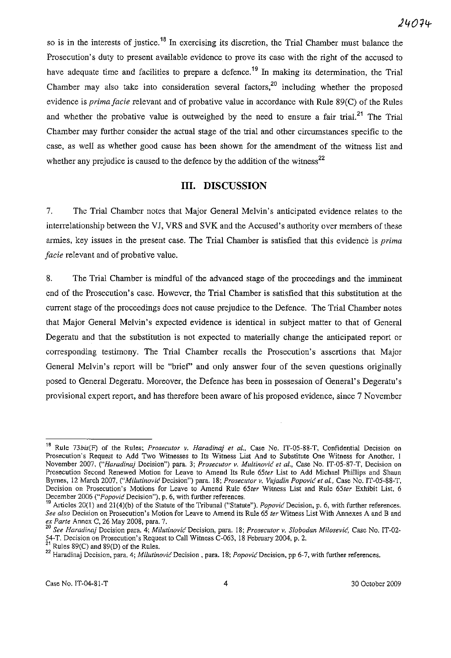so is in the interests of justice.<sup>18</sup> In exercising its discretion, the Trial Chamber must balance the Prosecution's duty to present available evidence to prove its case with the right of the accused to have adequate time and facilities to prepare a defence.<sup>19</sup> In making its determination, the Trial Chamber may also take into consideration several factors,<sup>20</sup> including whether the proposed evidence is *prima facie* relevant and of probative value in accordance with Rule 89(C) of the Rules and whether the probative value is outweighed by the need to ensure a fair trial.<sup>21</sup> The Trial Chamber may further consider the actual stage of the trial and other circumstances specific to the case, as well as whether good cause has been shown for the amendment of the witness list and whether any prejudice is caused to the defence by the addition of the witness<sup>22</sup>

### **Ill. DISCUSSION**

7. The Trial Chamber notes that Major General Melvin's anticipated evidence relates to the interrelationship between the VJ, VRS and SVK and the Accused's authority over members of these armies, key issues in the present case. The Trial Chamber is satisfied that this evidence is *prima facie* relevant and of probative value.

8. The Trial Chamber is mindful of the advanced stage of the proceedings and the imminent end of the Prosecution's case. However, the Trial Chamber is satisfied that this substitution at the current stage of the proceedings does not cause prejudice to the Defence. The Trial Chamber notes that Major General Melvin's expected evidence is identical in subject matter to that of General Degeratu and that the substitution is not expected to materially change the anticipated report or corresponding testimony. The Trial Chamber recalls the Prosecution's assertions that Major General Melvin's report will be "brief' and only answer four of the seven questions originally posed to General Degeratu. Moreover, the Defence has been in possession of General's Degeratu's provisional expert report, and has therefore been aware of his proposed evidence, since 7 November

<sup>&</sup>lt;sup>18</sup> Rule 73bis(F) of the Rules; *Prosecutor v. Haradinaj et al.*, Case No. IT-05-88-T, Confidential Decision on **Prosecution's Request to Add Two Witnesses to Its Witness List And to Substitute One Witness for Another, 1 November 2007,** *("Haradinaj* **Decision") para, 3;** *Prosecutor v. Multinovic et al.,* **Case No. IT-05-87-T, Decision on Prosecution Second Renewed Motion for Leave to Amend Its Rule** *65ter* **List to Add Michael Phi1lips and Shaun Byrnes, 12 March 2007,** *("Milutinovic* **Decision") para. 18;** *Prosecutor v. Vujadin Popovic et al.,* **Case No. IT -05-88-T, Decision on Prosecution's Motions for Leave to Amend Rule** *65ter* **Witness List and Rule** *65ter* **Exhibit List, 6 December 2006** *("Popovic* **Decision"), p. 6, with further references.** 

<sup>19</sup> Articles 20(1) and 21 (4)(b) of the Statute of the Tribunal ("Statute"). *Popovic* Decision, p. 6, with further references. *See also* **Decision on Prosecution's Motion for Leave to Amend its Rule 65** *ter* **Witness List With Annexes A and Band**  *ex Parte* Annex C, 26 May 2008, para. 7.

*<sup>20</sup> See Haradinaj* **Decision para. 4;** *MilutinovicDecision,* **para. 18;** *Prosecutor v. Slobodan Milosevic,* **Case No. IT-02-** *54-T.* Decision on Prosecution's Request to Call Witness C-063, 18 February 2004, p. 2.

<sup>&</sup>lt;sup>21</sup> Rules 89(C) and 89(D) of the Rules.

**<sup>22</sup> Haradinaj Decision, para. 4;** *Milutinovic* **Decision, para. 18;** *Popovic* **Decision, pp 6-7, with further references.**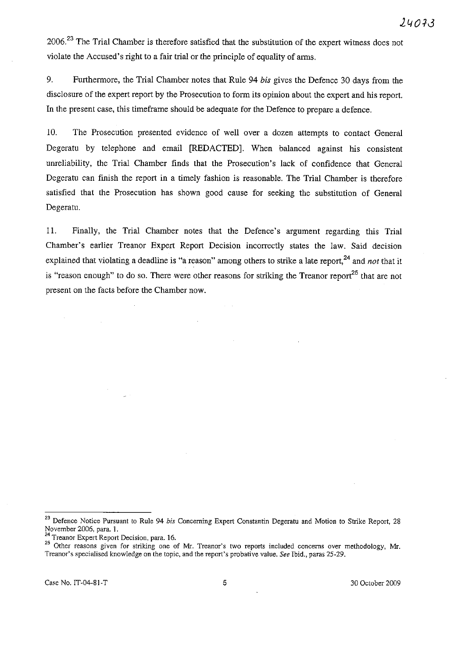2006.<sup>23</sup> The Trial Chamber is therefore satisfied that the substitution of the expert witness does not violate the Accused's right to a fair trial or the principle of equality of arms.

9. Furthermore, the Trial Chamber notes that Rule 94 *his* gives the Defence 30 days from the disclosure of the expert report by the Prosecution to form its opinion about the expert and his report. In the present case, this timeframe should be adequate for the Defence to prepare a defence.

10. The Prosecution presented evidence of well over a dozen attempts to contact General Degeratu by telephone and email [REDACTED]. When balanced against his consistent unreliability, the Trial Chamber finds that the Prosecution's lack of confidence that General Degeratu can finish the report in a timely fashion is reasonable. The Trial Chamber is therefore satisfied that the Prosecution has shown good cause for seeking the substitntion of General Degeratu.

11. Finally, the Trial Chamber notes that the Defence's argument regarding this Trial Chamber's earlier Treanor Expert Report Decision incorrectly states the law. Said decision explained that violating a deadline is "a reason" among others to strike a late report.<sup>24</sup> and *not* that it is "reason enough" to do so. There were other reasons for striking the Treanor report<sup>25</sup> that are not present on the facts before the Chamber now.

**24 Treanor Expert Report Decision, para. 16.** 

**<sup>23</sup> Defence Notice Pursuant to Rule 94** *bis* **Concerning Expert Constantin Degeratu and Motion to Strike Report, 28**  November 2006, para. 1.

**<sup>25</sup> Other reasons given for striking one of Mr. Treanor's two reports included concerns over methodology, Mr. Treanor's specialised knowledge on the topic, and the report's probative value.** *See* **Ibid., paras 25-29.**